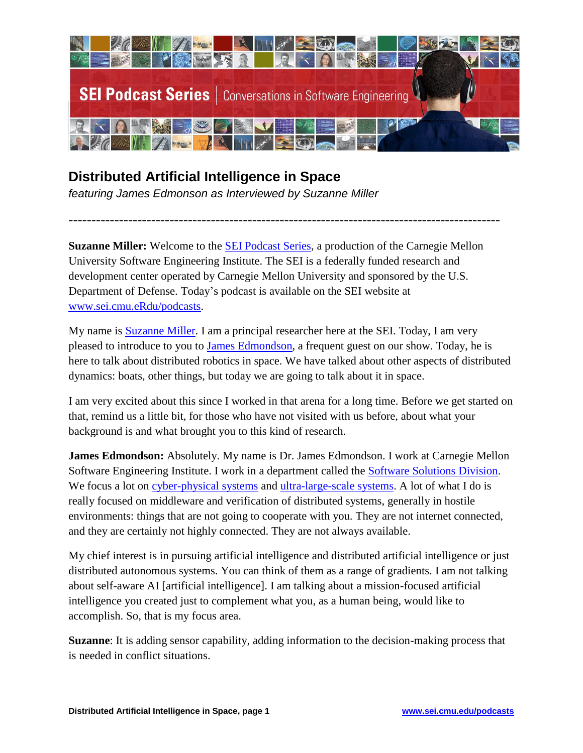

## **Distributed Artificial Intelligence in Space**

*featuring James Edmonson as Interviewed by Suzanne Miller* 

**Suzanne Miller:** Welcome to the [SEI Podcast Series,](http://www.sei.cmu.edu/podcasts/) a production of the Carnegie Mellon University Software Engineering Institute. The SEI is a federally funded research and development center operated by Carnegie Mellon University and sponsored by the U.S. Department of Defense. Today's podcast is available on the SEI website at [www.sei.cmu.eRdu/podcasts.](file:///C:/Users/hap/AppData/Local/Microsoft/Windows/Temporary%20Internet%20Files/Content.Outlook/6IXC6IKR/www.sei.cmu.edu/podcasts)

----------------------------------------------------------------------------------------------

My name is **Suzanne Miller**. I am a principal researcher here at the SEI. Today, I am very pleased to introduce to you to [James Edmondson,](http://www.sei.cmu.edu/about/people/profile.cfm?id=edmondson_16061) a frequent guest on our show. Today, he is here to talk about distributed robotics in space. We have talked about other aspects of distributed dynamics: boats, other things, but today we are going to talk about it in space.

I am very excited about this since I worked in that arena for a long time. Before we get started on that, remind us a little bit, for those who have not visited with us before, about what your background is and what brought you to this kind of research.

**James Edmondson:** Absolutely. My name is Dr. James Edmondson. I work at Carnegie Mellon Software Engineering Institute. I work in a department called the [Software Solutions](https://www.sei.cmu.edu/about/organization/softwaresolutions/index.cfm) Division. We focus a lot on [cyber-physical systems](http://www.sei.cmu.edu/cyber-physical/) and [ultra-large-scale systems.](http://www.sei.cmu.edu/uls/) A lot of what I do is really focused on middleware and verification of distributed systems, generally in hostile environments: things that are not going to cooperate with you. They are not internet connected, and they are certainly not highly connected. They are not always available.

My chief interest is in pursuing artificial intelligence and distributed artificial intelligence or just distributed autonomous systems. You can think of them as a range of gradients. I am not talking about self-aware AI [artificial intelligence]. I am talking about a mission-focused artificial intelligence you created just to complement what you, as a human being, would like to accomplish. So, that is my focus area.

**Suzanne**: It is adding sensor capability, adding information to the decision-making process that is needed in conflict situations.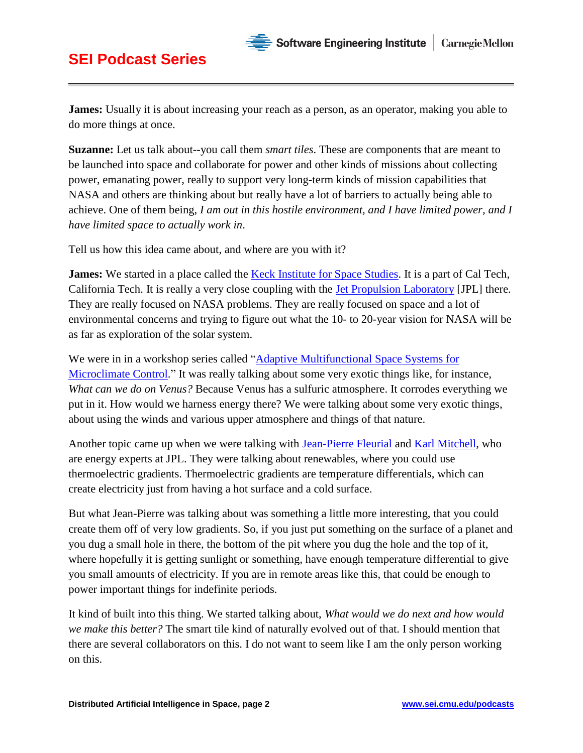**Suzanne:** Let us talk about--you call them *smart tiles*. These are components that are meant to be launched into space and collaborate for power and other kinds of missions about collecting power, emanating power, really to support very long-term kinds of mission capabilities that NASA and others are thinking about but really have a lot of barriers to actually being able to achieve. One of them being, *I am out in this hostile environment, and I have limited power, and I have limited space to actually work in*.

Tell us how this idea came about, and where are you with it?

**James:** We started in a place called the **Keck Institute for Space Studies**. It is a part of Cal Tech, California Tech. It is really a very close coupling with the [Jet Propulsion Laboratory](https://www.jpl.nasa.gov/) [JPL] there. They are really focused on NASA problems. They are really focused on space and a lot of environmental concerns and trying to figure out what the 10- to 20-year vision for NASA will be as far as exploration of the solar system.

We were in in a workshop series called "Adaptive Multifunctional Space Systems for [Microclimate Control.](http://kiss.caltech.edu/new_website/workshops/adaptive/adaptive2.html)" It was really talking about some very exotic things like, for instance, *What can we do on Venus?* Because Venus has a sulfuric atmosphere. It corrodes everything we put in it. How would we harness energy there? We were talking about some very exotic things, about using the winds and various upper atmosphere and things of that nature.

Another topic came up when we were talking with [Jean-Pierre Fleurial](https://scienceandtechnology.jpl.nasa.gov/people/j_fleurial) and [Karl Mitchell,](https://science.jpl.nasa.gov/people/Mitchell/) who are energy experts at JPL. They were talking about renewables, where you could use thermoelectric gradients. Thermoelectric gradients are temperature differentials, which can create electricity just from having a hot surface and a cold surface.

But what Jean-Pierre was talking about was something a little more interesting, that you could create them off of very low gradients. So, if you just put something on the surface of a planet and you dug a small hole in there, the bottom of the pit where you dug the hole and the top of it, where hopefully it is getting sunlight or something, have enough temperature differential to give you small amounts of electricity. If you are in remote areas like this, that could be enough to power important things for indefinite periods.

It kind of built into this thing. We started talking about, *What would we do next and how would we make this better?* The smart tile kind of naturally evolved out of that. I should mention that there are several collaborators on this. I do not want to seem like I am the only person working on this.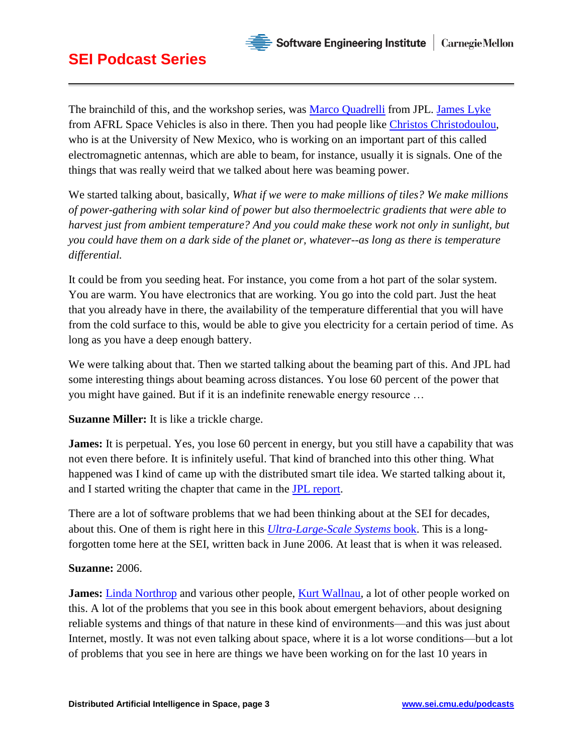

The brainchild of this, and the workshop series, was [Marco Quadrelli](https://www-robotics.jpl.nasa.gov/people/Marco_Quadrelli/) from JPL. [James Lyke](https://scholar.google.com/citations?user=JeXpdM0AAAAJ&hl=en) from AFRL Space Vehicles is also in there. Then you had people like [Christos Christodoulou,](http://ece-research.unm.edu/cgc/) who is at the University of New Mexico, who is working on an important part of this called electromagnetic antennas, which are able to beam, for instance, usually it is signals. One of the things that was really weird that we talked about here was beaming power.

We started talking about, basically, *What if we were to make millions of tiles? We make millions of power-gathering with solar kind of power but also thermoelectric gradients that were able to harvest just from ambient temperature? And you could make these work not only in sunlight, but you could have them on a dark side of the planet or, whatever--as long as there is temperature differential.* 

It could be from you seeding heat. For instance, you come from a hot part of the solar system. You are warm. You have electronics that are working. You go into the cold part. Just the heat that you already have in there, the availability of the temperature differential that you will have from the cold surface to this, would be able to give you electricity for a certain period of time. As long as you have a deep enough battery.

We were talking about that. Then we started talking about the beaming part of this. And JPL had some interesting things about beaming across distances. You lose 60 percent of the power that you might have gained. But if it is an indefinite renewable energy resource …

**Suzanne Miller:** It is like a trickle charge.

**James:** It is perpetual. Yes, you lose 60 percent in energy, but you still have a capability that was not even there before. It is infinitely useful. That kind of branched into this other thing. What happened was I kind of came up with the distributed smart tile idea. We started talking about it, and I started writing the chapter that came in the [JPL report.](http://kiss.caltech.edu/new_website/programs/20151217_Adaptive_Final_Report.pdf)

There are a lot of software problems that we had been thinking about at the SEI for decades, about this. One of them is right here in this *[Ultra-Large-Scale Systems](http://resources.sei.cmu.edu/library/asset-view.cfm?assetid=30519)* book. This is a longforgotten tome here at the SEI, written back in June 2006. At least that is when it was released.

#### **Suzanne:** 2006.

**James:** [Linda Northrop](http://www.sei.cmu.edu/about/people/profile.cfm?id=northrop_13182) and various other people, [Kurt Wallnau,](http://www.sei.cmu.edu/about/people/profile.cfm?id=wallnau_13228) a lot of other people worked on this. A lot of the problems that you see in this book about emergent behaviors, about designing reliable systems and things of that nature in these kind of environments—and this was just about Internet, mostly. It was not even talking about space, where it is a lot worse conditions—but a lot of problems that you see in here are things we have been working on for the last 10 years in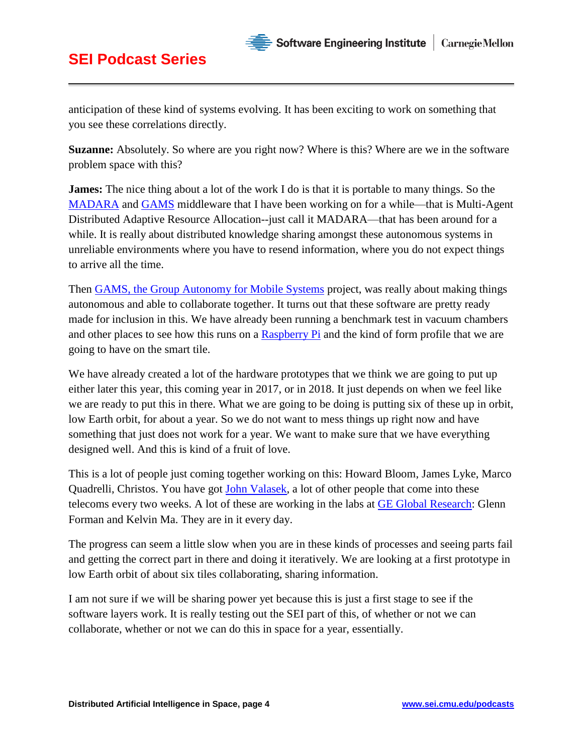anticipation of these kind of systems evolving. It has been exciting to work on something that you see these correlations directly.

 $\cdot$  Software Engineering Institute  $\parallel$ 

**Carnegie Mellon** 

**Suzanne:** Absolutely. So where are you right now? Where is this? Where are we in the software problem space with this?

**James:** The nice thing about a lot of the work I do is that it is portable to many things. So the [MADARA](http://madara.sourceforge.net/) and [GAMS](https://github.com/jredmondson/gams) middleware that I have been working on for a while—that is Multi-Agent Distributed Adaptive Resource Allocation--just call it MADARA—that has been around for a while. It is really about distributed knowledge sharing amongst these autonomous systems in unreliable environments where you have to resend information, where you do not expect things to arrive all the time.

Then [GAMS, the Group Autonomy for Mobile Systems](https://github.com/jredmondson/gams) project, was really about making things autonomous and able to collaborate together. It turns out that these software are pretty ready made for inclusion in this. We have already been running a benchmark test in vacuum chambers and other places to see how this runs on a [Raspberry Pi](https://www.raspberrypi.org/) and the kind of form profile that we are going to have on the smart tile.

We have already created a lot of the hardware prototypes that we think we are going to put up either later this year, this coming year in 2017, or in 2018. It just depends on when we feel like we are ready to put this in there. What we are going to be doing is putting six of these up in orbit, low Earth orbit, for about a year. So we do not want to mess things up right now and have something that just does not work for a year. We want to make sure that we have everything designed well. And this is kind of a fruit of love.

This is a lot of people just coming together working on this: Howard Bloom, James Lyke, Marco Quadrelli, Christos. You have got [John Valasek,](http://vscl.tamu.edu/valasek/) a lot of other people that come into these telecoms every two weeks. A lot of these are working in the labs at [GE Global Research:](http://www.geglobalresearch.com/) Glenn Forman and Kelvin Ma. They are in it every day.

The progress can seem a little slow when you are in these kinds of processes and seeing parts fail and getting the correct part in there and doing it iteratively. We are looking at a first prototype in low Earth orbit of about six tiles collaborating, sharing information.

I am not sure if we will be sharing power yet because this is just a first stage to see if the software layers work. It is really testing out the SEI part of this, of whether or not we can collaborate, whether or not we can do this in space for a year, essentially.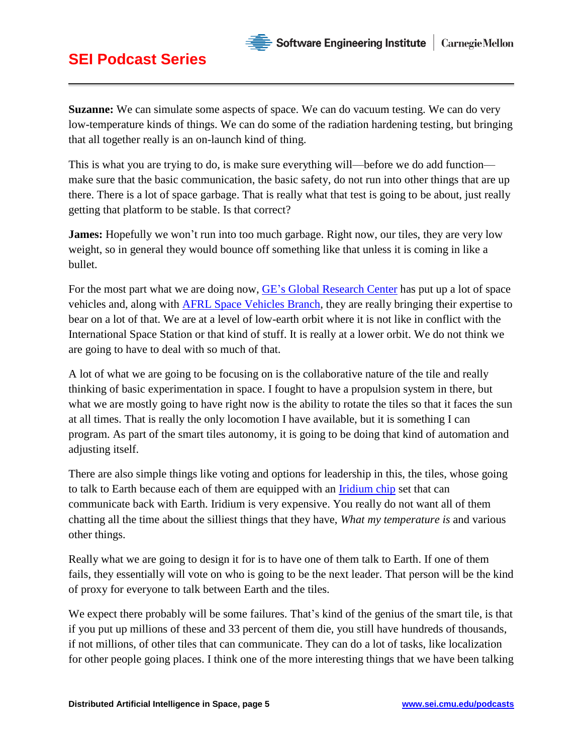

**Suzanne:** We can simulate some aspects of space. We can do vacuum testing. We can do very low-temperature kinds of things. We can do some of the radiation hardening testing, but bringing that all together really is an on-launch kind of thing.

This is what you are trying to do, is make sure everything will—before we do add function make sure that the basic communication, the basic safety, do not run into other things that are up there. There is a lot of space garbage. That is really what that test is going to be about, just really getting that platform to be stable. Is that correct?

**James:** Hopefully we won't run into too much garbage. Right now, our tiles, they are very low weight, so in general they would bounce off something like that unless it is coming in like a bullet.

For the most part what we are doing now, [GE's Global Research Center](http://www.geglobalresearch.com/) has put up a lot of space vehicles and, along with [AFRL Space Vehicles Branch,](http://www.kirtland.af.mil/Units/AFRL-Space-Vehicles-Directorate/) they are really bringing their expertise to bear on a lot of that. We are at a level of low-earth orbit where it is not like in conflict with the International Space Station or that kind of stuff. It is really at a lower orbit. We do not think we are going to have to deal with so much of that.

A lot of what we are going to be focusing on is the collaborative nature of the tile and really thinking of basic experimentation in space. I fought to have a propulsion system in there, but what we are mostly going to have right now is the ability to rotate the tiles so that it faces the sun at all times. That is really the only locomotion I have available, but it is something I can program. As part of the smart tiles autonomy, it is going to be doing that kind of automation and adjusting itself.

There are also simple things like voting and options for leadership in this, the tiles, whose going to talk to Earth because each of them are equipped with an [Iridium chip](https://en.wikipedia.org/wiki/Iridium_satellite_constellation) set that can communicate back with Earth. Iridium is very expensive. You really do not want all of them chatting all the time about the silliest things that they have, *What my temperature is* and various other things.

Really what we are going to design it for is to have one of them talk to Earth. If one of them fails, they essentially will vote on who is going to be the next leader. That person will be the kind of proxy for everyone to talk between Earth and the tiles.

We expect there probably will be some failures. That's kind of the genius of the smart tile, is that if you put up millions of these and 33 percent of them die, you still have hundreds of thousands, if not millions, of other tiles that can communicate. They can do a lot of tasks, like localization for other people going places. I think one of the more interesting things that we have been talking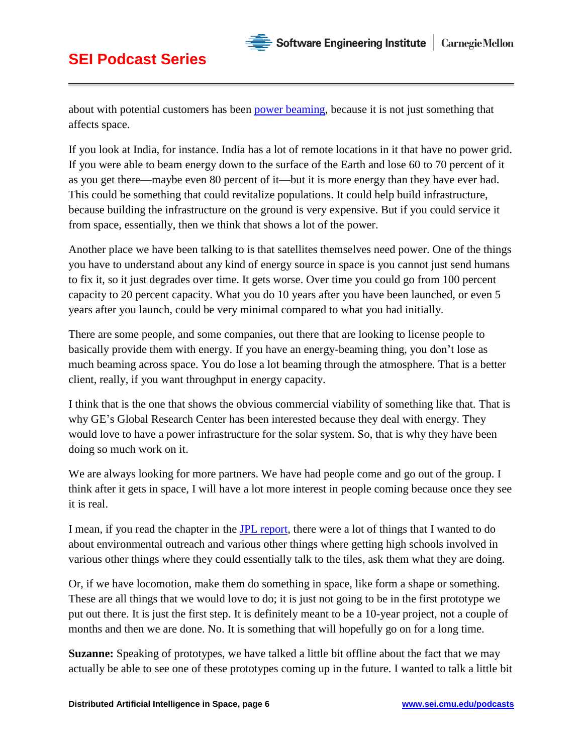

about with potential customers has been [power beaming,](https://en.wikipedia.org/wiki/Wireless_power_transfer) because it is not just something that affects space.

If you look at India, for instance. India has a lot of remote locations in it that have no power grid. If you were able to beam energy down to the surface of the Earth and lose 60 to 70 percent of it as you get there—maybe even 80 percent of it—but it is more energy than they have ever had. This could be something that could revitalize populations. It could help build infrastructure, because building the infrastructure on the ground is very expensive. But if you could service it from space, essentially, then we think that shows a lot of the power.

Another place we have been talking to is that satellites themselves need power. One of the things you have to understand about any kind of energy source in space is you cannot just send humans to fix it, so it just degrades over time. It gets worse. Over time you could go from 100 percent capacity to 20 percent capacity. What you do 10 years after you have been launched, or even 5 years after you launch, could be very minimal compared to what you had initially.

There are some people, and some companies, out there that are looking to license people to basically provide them with energy. If you have an energy-beaming thing, you don't lose as much beaming across space. You do lose a lot beaming through the atmosphere. That is a better client, really, if you want throughput in energy capacity.

I think that is the one that shows the obvious commercial viability of something like that. That is why GE's Global Research Center has been interested because they deal with energy. They would love to have a power infrastructure for the solar system. So, that is why they have been doing so much work on it.

We are always looking for more partners. We have had people come and go out of the group. I think after it gets in space, I will have a lot more interest in people coming because once they see it is real.

I mean, if you read the chapter in the [JPL report,](http://kiss.caltech.edu/new_website/programs/20151217_Adaptive_Final_Report.pdf) there were a lot of things that I wanted to do about environmental outreach and various other things where getting high schools involved in various other things where they could essentially talk to the tiles, ask them what they are doing.

Or, if we have locomotion, make them do something in space, like form a shape or something. These are all things that we would love to do; it is just not going to be in the first prototype we put out there. It is just the first step. It is definitely meant to be a 10-year project, not a couple of months and then we are done. No. It is something that will hopefully go on for a long time.

**Suzanne:** Speaking of prototypes, we have talked a little bit offline about the fact that we may actually be able to see one of these prototypes coming up in the future. I wanted to talk a little bit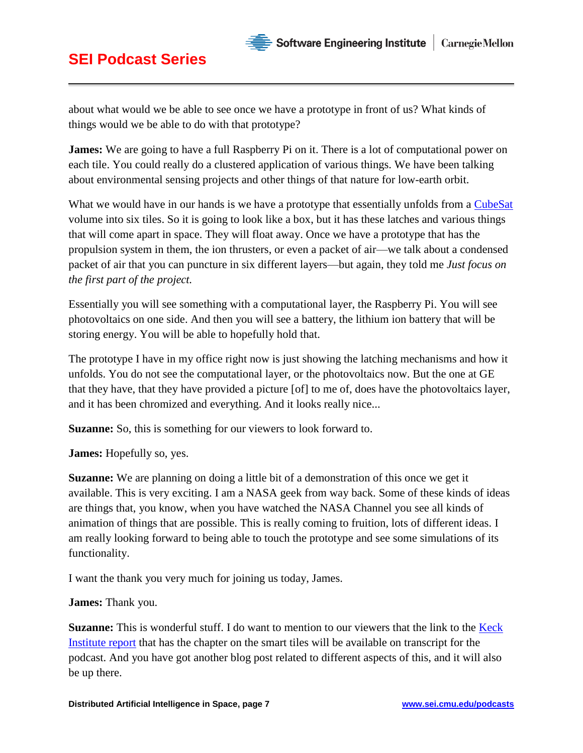

**Suzanne:** This is wonderful stuff. I do want to mention to our viewers that the link to the **Keck** [Institute report](http://kiss.caltech.edu/new_website/programs/20151217_Adaptive_Final_Report.pdf) that has the chapter on the smart tiles will be available on transcript for the podcast. And you have got another blog post related to different aspects of this, and it will also be up there.

#### **SEI Podcast Series**

about what would we be able to see once we have a prototype in front of us? What kinds of things would we be able to do with that prototype?

**James:** We are going to have a full Raspberry Pi on it. There is a lot of computational power on each tile. You could really do a clustered application of various things. We have been talking about environmental sensing projects and other things of that nature for low-earth orbit.

What we would have in our hands is we have a prototype that essentially unfolds from a [CubeSat](https://en.wikipedia.org/wiki/CubeSat) volume into six tiles. So it is going to look like a box, but it has these latches and various things that will come apart in space. They will float away. Once we have a prototype that has the propulsion system in them, the ion thrusters, or even a packet of air—we talk about a condensed packet of air that you can puncture in six different layers—but again, they told me *Just focus on the first part of the project.*

Essentially you will see something with a computational layer, the Raspberry Pi. You will see photovoltaics on one side. And then you will see a battery, the lithium ion battery that will be storing energy. You will be able to hopefully hold that.

The prototype I have in my office right now is just showing the latching mechanisms and how it unfolds. You do not see the computational layer, or the photovoltaics now. But the one at GE that they have, that they have provided a picture [of] to me of, does have the photovoltaics layer, and it has been chromized and everything. And it looks really nice...

**Suzanne:** So, this is something for our viewers to look forward to.

**James:** Hopefully so, yes.

**Suzanne:** We are planning on doing a little bit of a demonstration of this once we get it available. This is very exciting. I am a NASA geek from way back. Some of these kinds of ideas are things that, you know, when you have watched the NASA Channel you see all kinds of animation of things that are possible. This is really coming to fruition, lots of different ideas. I am really looking forward to being able to touch the prototype and see some simulations of its functionality.

I want the thank you very much for joining us today, James.

**James:** Thank you.